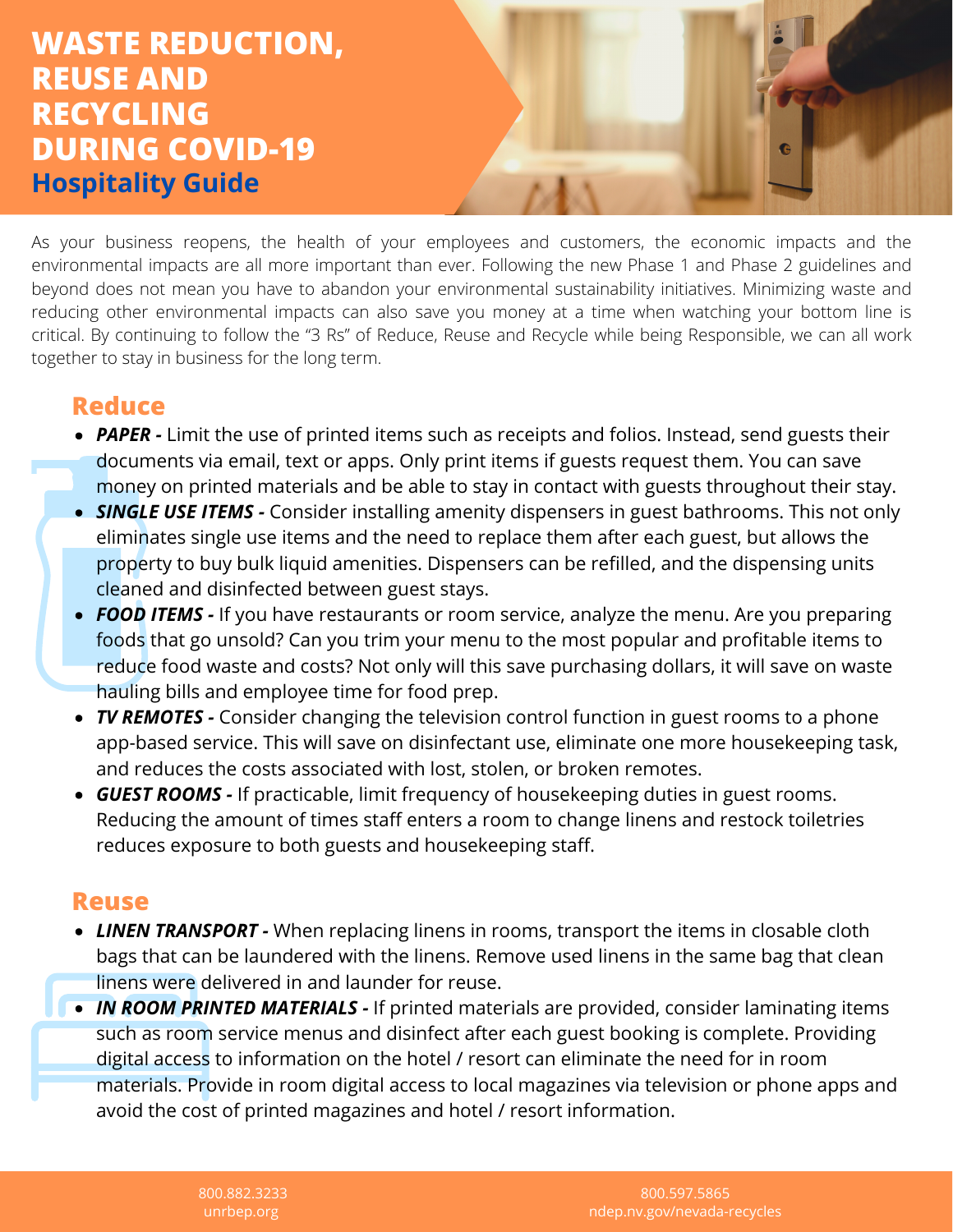# **WASTE REDUCTION, REUSE AND RECYCLING DURING COVID-19 Hospitality Guide**

As your business reopens, the health of your employees and customers, the economic impacts and the environmental impacts are all more important than ever. Following the new Phase 1 and Phase 2 guidelines and beyond does not mean you have to abandon your environmental sustainability initiatives. Minimizing waste and reducing other environmental impacts can also save you money at a time when watching your bottom line is critical. By continuing to follow the "3 Rs" of Reduce, Reuse and Recycle while being Responsible, we can all work together to stay in business for the long term.

### **Reduce**

- **PAPER** Limit the use of printed items such as receipts and folios. Instead, send guests their documents via email, text or apps. Only print items if guests request them. You can save money on printed materials and be able to stay in contact with guests throughout their stay.
- **SINGLE USE ITEMS -** Consider installing amenity dispensers in guest bathrooms. This not only eliminates single use items and the need to replace them after each guest, but allows the property to buy bulk liquid amenities. Dispensers can be refilled, and the dispensing units cleaned and disinfected between guest stays.
- **FOOD ITEMS -** If you have restaurants or room service, analyze the menu. Are you preparing foods that go unsold? Can you trim your menu to the most popular and profitable items to reduce food waste and costs? Not only will this save purchasing dollars, it will save on waste hauling bills and employee time for food prep.
- *TV REMOTES -* Consider changing the television control function in guest rooms to a phone app-based service. This will save on disinfectant use, eliminate one more housekeeping task, and reduces the costs associated with lost, stolen, or broken remotes.
- *GUEST ROOMS -* If practicable, limit frequency of housekeeping duties in guest rooms. Reducing the amount of times staff enters a room to change linens and restock toiletries reduces exposure to both guests and housekeeping staff.

### **Reuse**

- *LINEN TRANSPORT -* When replacing linens in rooms, transport the items in closable cloth bags that can be laundered with the linens. Remove used linens in the same bag that clean linens were delivered in and launder for reuse.
- *IN ROOM PRINTED MATERIALS -* If printed materials are provided, consider laminating items such as room service menus and disinfect after each guest booking is complete. Providing digital access to information on the hotel / resort can eliminate the need for in room materials. Provide in room digital access to local magazines via television or phone apps and avoid the cost of printed magazines and hotel / resort information.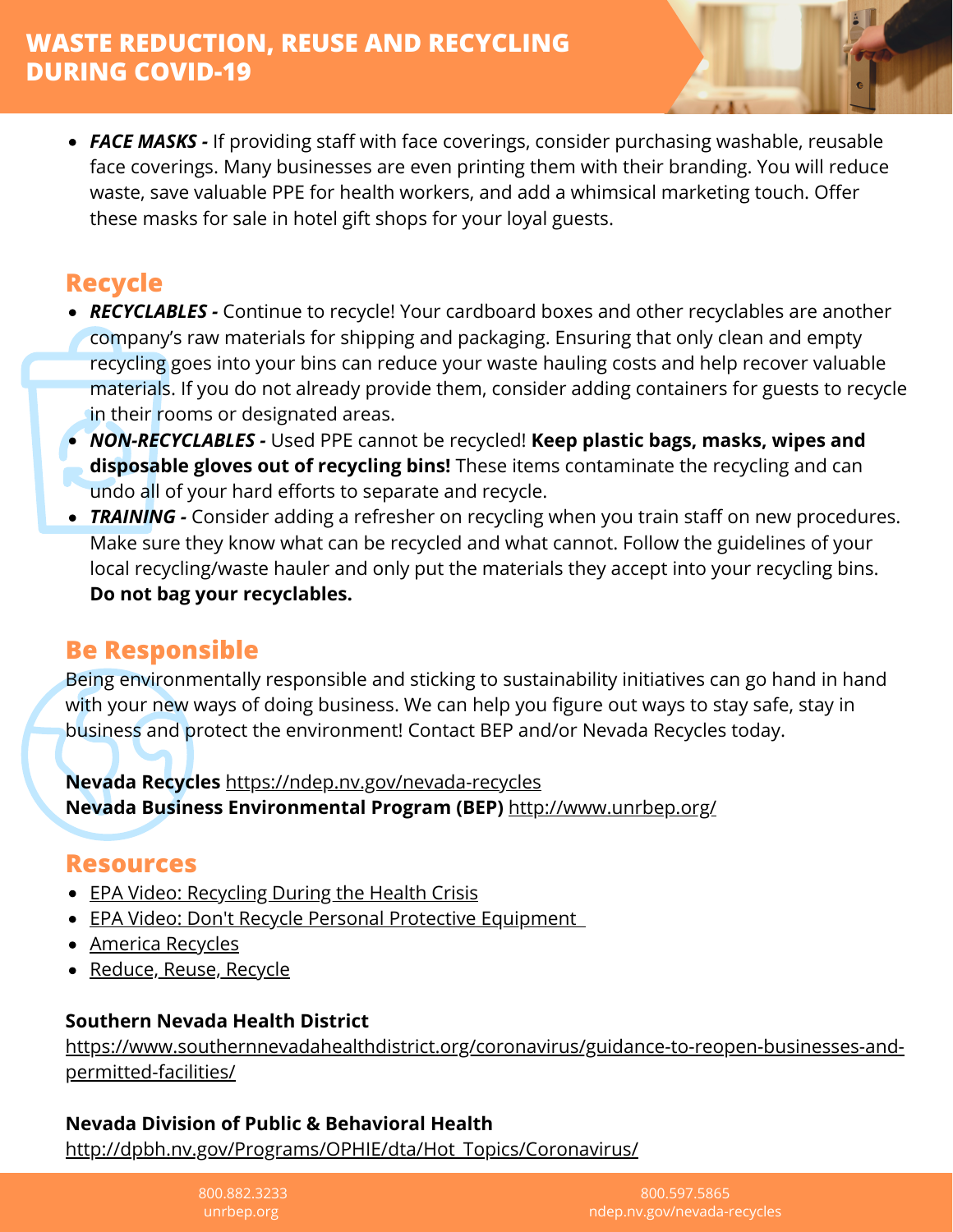• **FACE MASKS** - If providing staff with face coverings, consider purchasing washable, reusable face coverings. Many businesses are even printing them with their branding. You will reduce waste, save valuable PPE for health workers, and add a whimsical marketing touch. Offer these masks for sale in hotel gift shops for your loyal guests.

## **Recycle**

- *RECYCLABLES -* Continue to recycle! Your cardboard boxes and other recyclables are another company's raw materials for shipping and packaging. Ensuring that only clean and empty recycling goes into your bins can reduce your waste hauling costs and help recover valuable materials. If you do not already provide them, consider adding containers for guests to recycle in their rooms or designated areas.
- *NON-RECYCLABLES -* Used PPE cannot be recycled! **Keep plastic bags, masks, wipes and disposable gloves out of recycling bins!** These items contaminate the recycling and can undo all of your hard efforts to separate and recycle.
- *TRAINING* Consider adding a refresher on recycling when you train staff on new procedures. Make sure they know what can be recycled and what cannot. Follow the guidelines of your local recycling/waste hauler and only put the materials they accept into your recycling bins. **Do not bag your recyclables.**

### **Be Responsible**

Being environmentally responsible and sticking to sustainability initiatives can go hand in hand with your new ways of doing business. We can help you figure out ways to stay safe, stay in business and protect the environment! Contact BEP and/or Nevada Recycles today.

**Nevada Recycles** <https://ndep.nv.gov/nevada-recycles> **Nevada Business Environmental Program (BEP)** <http://www.unrbep.org/>

### **Resources**

- **EPA Video: Recycling During the Health Crisis**
- EPA Video: Don't Recycle Personal Protective Equipment
- [America Recycles](https://www.epa.gov/americarecycles)
- [Reduce, Reuse, Recycle](https://www.epa.gov/recycle)

### **Southern Nevada Health District**

[https://www.southernnevadahealthdistrict.org/coronavirus/guidance-to-reopen-businesses-and](https://www.southernnevadahealthdistrict.org/coronavirus/guidance-to-reopen-businesses-and-permitted-facilities/)permitted-facilities/

### **Nevada Division of Public & Behavioral Health**

[http://dpbh.nv.gov/Programs/OPHIE/dta/Hot\\_Topics/Coronavirus/](http://dpbh.nv.gov/Programs/OPHIE/dta/Hot_Topics/Coronavirus/)